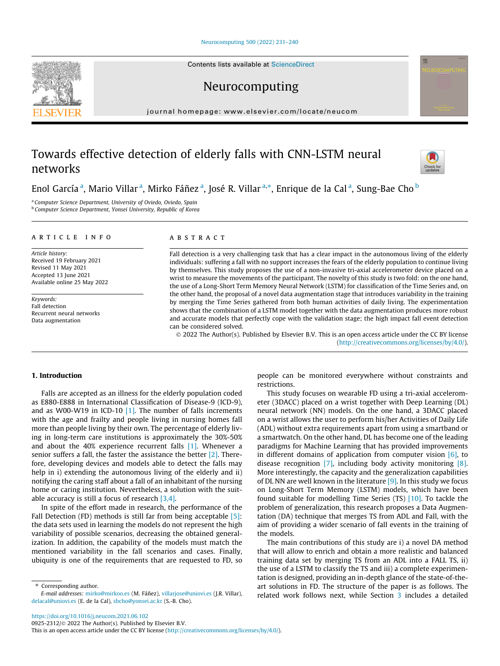## [Neurocomputing 500 \(2022\) 231–240](https://doi.org/10.1016/j.neucom.2021.06.102)

Neurocomputing

journal homepage: [www.elsevier.com/locate/neucom](http://www.elsevier.com/locate/neucom)

# Towards effective detection of elderly falls with CNN-LSTM neural networks

Enol Garcíaª, Mario Villarª, Mirko Fáñezª, José R. Villarª.\*, Enrique de la Calª, Sung-Bae Cho <sup>b</sup>

<sup>a</sup> Computer Science Department, University of Oviedo, Oviedo, Spain **b** Computer Science Department, Yonsei University, Republic of Korea

#### article info

Article history: Received 19 February 2021 Revised 11 May 2021 Accepted 13 June 2021 Available online 25 May 2022

Keywords: Fall detection Recurrent neural networks Data augmentation

# ABSTRACT

Fall detection is a very challenging task that has a clear impact in the autonomous living of the elderly individuals: suffering a fall with no support increases the fears of the elderly population to continue living by themselves. This study proposes the use of a non-invasive tri-axial accelerometer device placed on a wrist to measure the movements of the participant. The novelty of this study is two fold: on the one hand, the use of a Long-Short Term Memory Neural Network (LSTM) for classification of the Time Series and, on the other hand, the proposal of a novel data augmentation stage that introduces variability in the training by merging the Time Series gathered from both human activities of daily living. The experimentation shows that the combination of a LSTM model together with the data augmentation produces more robust and accurate models that perfectly cope with the validation stage; the high impact fall event detection can be considered solved.

 2022 The Author(s). Published by Elsevier B.V. This is an open access article under the CC BY license [\(http://creativecommons.org/licenses/by/4.0/](http://creativecommons.org/licenses/by/4.0/)).

# 1. Introduction

Falls are accepted as an illness for the elderly population coded as E880-E888 in International Classification of Disease-9 (ICD-9), and as W00-W19 in ICD-10 [\[1\]](#page-7-0). The number of falls increments with the age and frailty and people living in nursing homes fall more than people living by their own. The percentage of elderly living in long-term care institutions is approximately the 30%-50% and about the 40% experience recurrent falls [\[1\]](#page-7-0). Whenever a senior suffers a fall, the faster the assistance the better [\[2\]](#page-7-0). Therefore, developing devices and models able to detect the falls may help in i) extending the autonomous living of the elderly and ii) notifying the caring staff about a fall of an inhabitant of the nursing home or caring institution. Nevertheless, a solution with the suitable accuracy is still a focus of research [\[3,4\]](#page-7-0).

In spite of the effort made in research, the performance of the Fall Detection (FD) methods is still far from being acceptable [\[5\]:](#page-7-0) the data sets used in learning the models do not represent the high variability of possible scenarios, decreasing the obtained generalization. In addition, the capability of the models must match the mentioned variability in the fall scenarios and cases. Finally, ubiquity is one of the requirements that are requested to FD, so

\* Corresponding author.

people can be monitored everywhere without constraints and restrictions.

This study focuses on wearable FD using a tri-axial accelerometer (3DACC) placed on a wrist together with Deep Learning (DL) neural network (NN) models. On the one hand, a 3DACC placed on a wrist allows the user to perform his/her Activities of Daily Life (ADL) without extra requirements apart from using a smartband or a smartwatch. On the other hand, DL has become one of the leading paradigms for Machine Learning that has provided improvements in different domains of application from computer vision  $[6]$ , to disease recognition [\[7\]](#page-7-0), including body activity monitoring [\[8\].](#page-7-0) More interestingly, the capacity and the generalization capabilities of DL NN are well known in the literature  $[9]$ . In this study we focus on Long-Short Term Memory (LSTM) models, which have been found suitable for modelling Time Series (TS) [\[10\].](#page-7-0) To tackle the problem of generalization, this research proposes a Data Augmentation (DA) technique that merges TS from ADL and Fall, with the aim of providing a wider scenario of fall events in the training of the models.

The main contributions of this study are i) a novel DA method that will allow to enrich and obtain a more realistic and balanced training data set by merging TS from an ADL into a FALL TS, ii) the use of a LSTM to classify the TS and iii) a complete experimentation is designed, providing an in-depth glance of the state-of-theart solutions in FD. The structure of the paper is as follows. The related work follows next, while Section [3](#page-1-0) includes a detailed







E-mail addresses: [mirko@mirkoo.es](mailto:mirko@mirkoo.es) (M. Fáñez), [villarjose@uniovi.es](mailto:villarjose@uniovi.es) (J.R. Villar), [delacal@uniovi.es](mailto:delacal@uniovi.es) (E. de la Cal), [sbcho@yonsei.ac.kr](mailto:sbcho@yonsei.ac.kr) (S.-B. Cho).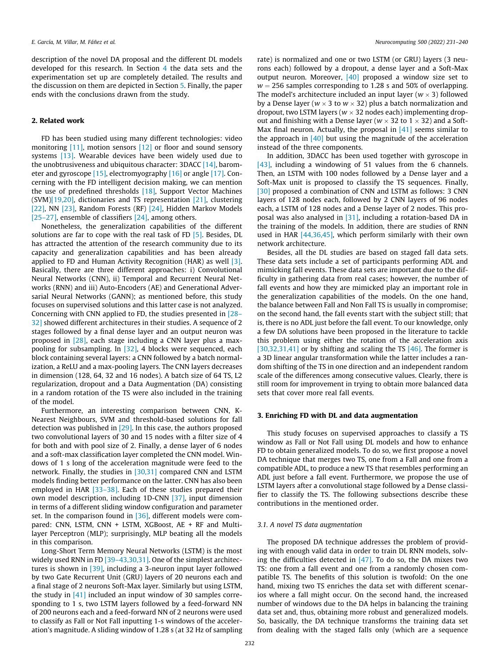<span id="page-1-0"></span>description of the novel DA proposal and the different DL models developed for this research. In Section [4](#page-4-0) the data sets and the experimentation set up are completely detailed. The results and the discussion on them are depicted in Section [5](#page-5-0). Finally, the paper ends with the conclusions drawn from the study.

## 2. Related work

FD has been studied using many different technologies: video monitoring [\[11\],](#page-7-0) motion sensors [\[12\]](#page-7-0) or floor and sound sensory systems [\[13\].](#page-7-0) Wearable devices have been widely used due to the unobtrusiveness and ubiquitous character: 3DACC [\[14\]](#page-7-0), barometer and gyroscope [\[15\]](#page-7-0), electromyography [\[16\]](#page-7-0) or angle [\[17\].](#page-7-0) Concerning with the FD intelligent decision making, we can mention the use of predefined thresholds [\[18\],](#page-7-0) Support Vector Machines (SVM[\)\[19,20\],](#page-7-0) dictionaries and TS representation [\[21\],](#page-7-0) clustering [\[22\]](#page-7-0), NN [\[23\]](#page-7-0), Random Forests (RF) [\[24\]](#page-8-0), Hidden Markov Models [\[25–27\]](#page-8-0), ensemble of classifiers [\[24\],](#page-8-0) among others.

Nonetheless, the generalization capabilities of the different solutions are far to cope with the real task of FD [\[5\].](#page-7-0) Besides, DL has attracted the attention of the research community due to its capacity and generalization capabilities and has been already applied to FD and Human Activity Recognition (HAR) as well [\[3\].](#page-7-0) Basically, there are three different approaches: i) Convolutional Neural Networks (CNN), ii) Temporal and Recurrent Neural Networks (RNN) and iii) Auto-Encoders (AE) and Generational Adversarial Neural Networks (GANN); as mentioned before, this study focuses on supervised solutions and this latter case is not analyzed. Concerning with CNN applied to FD, the studies presented in [\[28–](#page-8-0) [32\]](#page-8-0) showed different architectures in their studies. A sequence of 2 stages followed by a final dense layer and an output neuron was proposed in [\[28\],](#page-8-0) each stage including a CNN layer plus a maxpooling for subsampling. In [\[32\]](#page-8-0), 4 blocks were sequenced, each block containing several layers: a CNN followed by a batch normalization, a ReLU and a max-pooling layers. The CNN layers decreases in dimension (128, 64, 32 and 16 nodes). A batch size of 64 TS, L2 regularization, dropout and a Data Augmentation (DA) consisting in a random rotation of the TS were also included in the training of the model.

Furthermore, an interesting comparison between CNN, K-Nearest Neighbours, SVM and threshold-based solutions for fall detection was published in [\[29\]](#page-8-0). In this case, the authors proposed two convolutional layers of 30 and 15 nodes with a filter size of 4 for both and with pool size of 2. Finally, a dense layer of 6 nodes and a soft-max classification layer completed the CNN model. Windows of 1 s long of the acceleration magnitude were feed to the network. Finally, the studies in [\[30,31\]](#page-8-0) compared CNN and LSTM models finding better performance on the latter. CNN has also been employed in HAR [33-38]. Each of these studies prepared their own model description, including 1D-CNN [\[37\]](#page-8-0), input dimension in terms of a different sliding window configuration and parameter set. In the comparison found in  $[36]$ , different models were compared: CNN, LSTM, CNN + LSTM, XGBoost, AE + RF and Multilayer Perceptron (MLP); surprisingly, MLP beating all the models in this comparison.

Long-Short Term Memory Neural Networks (LSTM) is the most widely used RNN in FD [39-43,30,31]. One of the simplest architectures is shown in [\[39\],](#page-8-0) including a 3-neuron input layer followed by two Gate Recurrent Unit (GRU) layers of 20 neurons each and a final stage of 2 neurons Soft-Max layer. Similarly but using LSTM, the study in [\[41\]](#page-8-0) included an input window of 30 samples corresponding to 1 s, two LSTM layers followed by a feed-forward NN of 200 neurons each and a feed-forward NN of 2 neurons were used to classify as Fall or Not Fall inputting 1-s windows of the acceleration's magnitude. A sliding window of 1.28 s (at 32 Hz of sampling rate) is normalized and one or two LSTM (or GRU) layers (3 neurons each) followed by a dropout, a dense layer and a Soft-Max output neuron. Moreover, [\[40\]](#page-8-0) proposed a window size set to  $w = 256$  samples corresponding to 1.28 s and 50% of overlapping. The model's architecture included an input layer  $(w \times 3)$  followed by a Dense layer ( $w \times 3$  to  $w \times 32$ ) plus a batch normalization and dropout, two LSTM layers ( $w \times 32$  nodes each) implementing dropout and finishing with a Dense layer ( $w \times 32$  to  $1 \times 32$ ) and a Soft-Max final neuron. Actually, the proposal in [\[41\]](#page-8-0) seems similar to the approach in [\[40\]](#page-8-0) but using the magnitude of the acceleration instead of the three components.

In addition, 3DACC has been used together with gyroscope in [\[43\]](#page-8-0), including a windowing of 51 values from the 6 channels. Then, an LSTM with 100 nodes followed by a Dense layer and a Soft-Max unit is proposed to classify the TS sequences. Finally, [\[30\]](#page-8-0) proposed a combination of CNN and LSTM as follows: 3 CNN layers of 128 nodes each, followed by 2 CNN layers of 96 nodes each, a LSTM of 128 nodes and a Dense layer of 2 nodes. This proposal was also analysed in [\[31\]](#page-8-0), including a rotation-based DA in the training of the models. In addition, there are studies of RNN used in HAR [\[44,36,45\],](#page-8-0) which perform similarly with their own network architecture.

Besides, all the DL studies are based on staged fall data sets. These data sets include a set of participants performing ADL and mimicking fall events. These data sets are important due to the difficulty in gathering data from real cases; however, the number of fall events and how they are mimicked play an important role in the generalization capabilities of the models. On the one hand, the balance between Fall and Non Fall TS is usually in compromise; on the second hand, the fall events start with the subject still; that is, there is no ADL just before the fall event. To our knowledge, only a few DA solutions have been proposed in the literature to tackle this problem using either the rotation of the acceleration axis [\[30,32,31,41\]](#page-8-0) or by shifting and scaling the TS  $[46]$ . The former is a 3D linear angular transformation while the latter includes a random shifting of the TS in one direction and an independent random scale of the differences among consecutive values. Clearly, there is still room for improvement in trying to obtain more balanced data sets that cover more real fall events.

# 3. Enriching FD with DL and data augmentation

This study focuses on supervised approaches to classify a TS window as Fall or Not Fall using DL models and how to enhance FD to obtain generalized models. To do so, we first propose a novel DA technique that merges two TS, one from a Fall and one from a compatible ADL, to produce a new TS that resembles performing an ADL just before a fall event. Furthermore, we propose the use of LSTM layers after a convolutional stage followed by a Dense classifier to classify the TS. The following subsections describe these contributions in the mentioned order.

# 3.1. A novel TS data augmentation

The proposed DA technique addresses the problem of providing with enough valid data in order to train DL RNN models, solving the difficulties detected in  $[47]$ . To do so, the DA mixes two TS: one from a fall event and one from a randomly chosen compatible TS. The benefits of this solution is twofold: On the one hand, mixing two TS enriches the data set with different scenarios where a fall might occur. On the second hand, the increased number of windows due to the DA helps in balancing the training data set and, thus, obtaining more robust and generalized models. So, basically, the DA technique transforms the training data set from dealing with the staged falls only (which are a sequence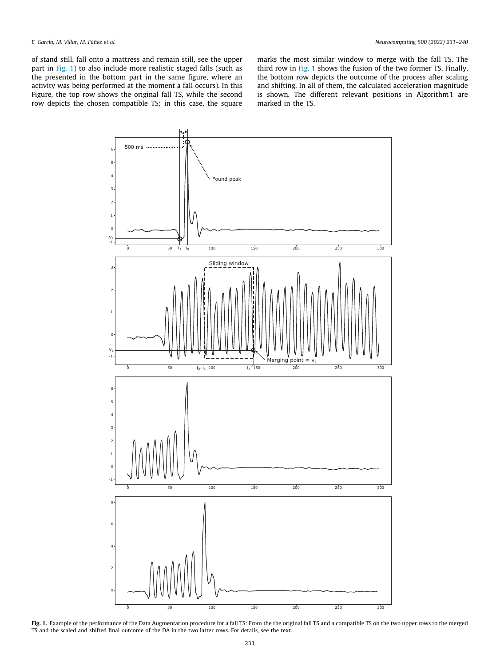<span id="page-2-0"></span>of stand still, fall onto a mattress and remain still, see the upper part in Fig. 1) to also include more realistic staged falls (such as the presented in the bottom part in the same figure, where an activity was being performed at the moment a fall occurs). In this Figure, the top row shows the original fall TS, while the second row depicts the chosen compatible TS; in this case, the square marks the most similar window to merge with the fall TS. The third row in Fig. 1 shows the fusion of the two former TS. Finally, the bottom row depicts the outcome of the process after scaling and shifting. In all of them, the calculated acceleration magnitude is shown. The different relevant positions in Algorithm1 are marked in the TS.



Fig. 1. Example of the performance of the Data Augmentation procedure for a fall TS: From the the original fall TS and a compatible TS on the two upper rows to the merged TS and the scaled and shifted final outcome of the DA in the two latter rows. For details, see the text.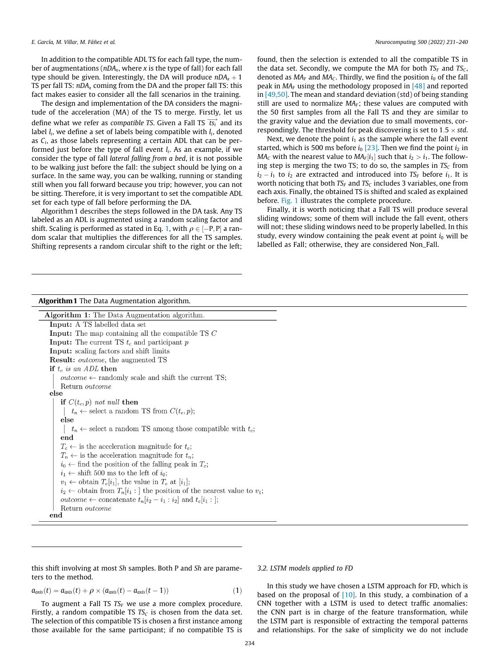In addition to the compatible ADL TS for each fall type, the number of augmentations ( $nDA_x$ , where x is the type of fall) for each fall type should be given. Interestingly, the DA will produce  $nDA<sub>x</sub> + 1$ The should be given, interestingly, the DA will produce  $n_{\text{D4y}} + 1$ <br>TS per fall TS:  $n_{\text{D4x}}$  coming from the DA and the proper fall TS: this fact makes easier to consider all the fall scenarios in the training.

The design and implementation of the DA considers the magnitude of the acceleration (MA) of the TS to merge. Firstly, let us define what we refer as compatible TS. Given a Fall TS  $\overrightarrow{ts_i}$  and its label  $l_i$ , we define a set of labels being compatible with  $l_i$ , denoted as  $C_i$ , as those labels representing a certain ADL that can be performed just before the type of fall event  $l_i$ . As an example, if we consider the type of fall lateral falling from a bed, it is not possible to be walking just before the fall: the subject should be lying on a surface. In the same way, you can be walking, running or standing still when you fall forward because you trip; however, you can not be sitting. Therefore, it is very important to set the compatible ADL set for each type of fall before performing the DA.

Algorithm1 describes the steps followed in the DA task. Any TS labeled as an ADL is augmented using a random scaling factor and shift. Scaling is performed as stated in Eq. 1, with  $\rho \in [-P, P]$  a random scalar that multiplies the differences for all the TS samples. Shifting represents a random circular shift to the right or the left;

found, then the selection is extended to all the compatible TS in the data set. Secondly, we compute the MA for both  $TS_F$  and  $TS_C$ . denoted as  $MA<sub>F</sub>$  and  $MA<sub>C</sub>$ . Thirdly, we find the position  $i<sub>0</sub>$  of the fall peak in  $MA<sub>F</sub>$  using the methodology proposed in [\[48\]](#page-8-0) and reported in [\[49,50\].](#page-8-0) The mean and standard deviation (std) of being standing still are used to normalize  $MA_F$ ; these values are computed with the 50 first samples from all the Fall TS and they are similar to the gravity value and the deviation due to small movements, correspondingly. The threshold for peak discovering is set to  $1.5 \times$  std.

Next, we denote the point  $i_1$  as the sample where the fall event started, which is 500 ms before  $i_0$  [\[23\]](#page-7-0). Then we find the point  $i_2$  in  $MA<sub>C</sub>$  with the nearest value to  $MA<sub>F</sub>[i<sub>1</sub>]$  such that  $i<sub>2</sub> > i<sub>1</sub>$ . The following step is merging the two TS; to do so, the samples in  $TS_C$  from  $i_2 - i_1$  to  $i_2$  are extracted and introduced into TS<sub>F</sub> before  $i_1$ . It is worth noticing that both  $TS_F$  and  $TS_C$  includes 3 variables, one from each axis. Finally, the obtained TS is shifted and scaled as explained before. [Fig. 1](#page-2-0) illustrates the complete procedure.

Finally, it is worth noticing that a Fall TS will produce several sliding windows; some of them will include the fall event, others will not; these sliding windows need to be properly labelled. In this study, every window containing the peak event at point  $i_0$  will be labelled as Fall; otherwise, they are considered Non\_Fall.

# Algorithm1 The Data Augmentation algorithm.

| Algorithm 1: The Data Augmentation algorithm.                                         |  |
|---------------------------------------------------------------------------------------|--|
| <b>Input:</b> A TS labelled data set                                                  |  |
| <b>Input:</b> The map containing all the compatible TS $C$                            |  |
| <b>Input:</b> The current TS $t_c$ and participant p                                  |  |
| Input: scaling factors and shift limits                                               |  |
| <b>Result:</b> <i>outcome</i> , the augmented TS                                      |  |
| if $t_c$ is an ADL then                                                               |  |
| <i>outcome</i> $\leftarrow$ randomly scale and shift the current TS;                  |  |
| Return <i>outcome</i>                                                                 |  |
| else                                                                                  |  |
| if $C(t_c, p)$ not null then                                                          |  |
| $t_n \leftarrow$ select a random TS from $C(t_c, p)$ ;                                |  |
| else                                                                                  |  |
| $t_n \leftarrow$ select a random TS among those compatible with $t_c$ ;               |  |
| end                                                                                   |  |
| $T_c \leftarrow$ is the acceleration magnitude for $t_c$ ;                            |  |
| $T_n \leftarrow$ is the acceleration magnitude for $t_n$ ;                            |  |
| $i_0 \leftarrow$ find the position of the falling peak in $T_c$ ;                     |  |
| $i_1 \leftarrow$ shift 500 ms to the left of $i_0$ ;                                  |  |
| $v_1 \leftarrow$ obtain $T_c[i_1]$ , the value in $T_c$ at $[i_1]$ ;                  |  |
| $i_2 \leftarrow$ obtain from $T_n[i_1:]$ the position of the nearest value to $v_1$ ; |  |
| <i>outcome</i> $\leftarrow$ concatenate $t_n[i_2 - i_1 : i_2]$ and $t_c[i_1 :]$ ;     |  |
| Return <i>outcome</i>                                                                 |  |
| end                                                                                   |  |

this shift involving at most Sh samples. Both P and Sh are parameters to the method.

$$
a_{\text{axis}}(t) = a_{\text{axis}}(t) + \rho \times (a_{\text{axis}}(t) - a_{\text{axis}}(t-1))
$$
\n(1)

To augment a Fall TS  $TS_F$  we use a more complex procedure. Firstly, a random compatible TS  $TS_C$  is chosen from the data set. The selection of this compatible TS is chosen a first instance among those available for the same participant; if no compatible TS is

# 3.2. LSTM models applied to FD

In this study we have chosen a LSTM approach for FD, which is based on the proposal of  $[10]$ . In this study, a combination of a CNN together with a LSTM is used to detect traffic anomalies: the CNN part is in charge of the feature transformation, while the LSTM part is responsible of extracting the temporal patterns and relationships. For the sake of simplicity we do not include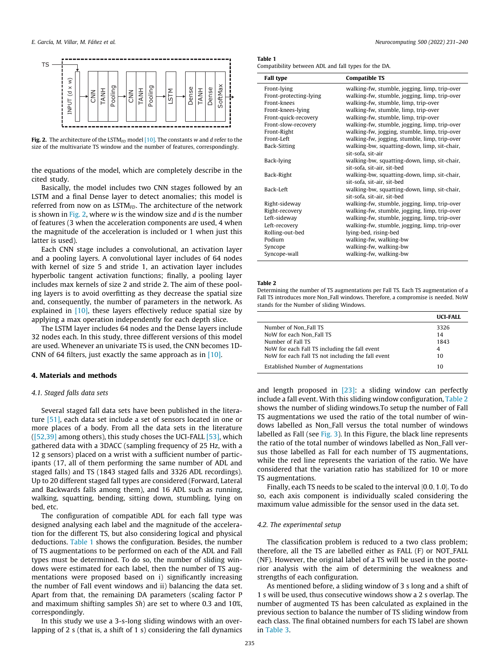<span id="page-4-0"></span>

Fig. 2. The architecture of the LSTM<sub>FD</sub> model  $[10]$ . The constants w and d refer to the size of the multivariate TS window and the number of features, correspondingly.

the equations of the model, which are completely describe in the cited study.

Basically, the model includes two CNN stages followed by an LSTM and a final Dense layer to detect anomalies; this model is referred from now on as  $LSTM<sub>FD</sub>$ . The architecture of the network is shown in Fig. 2, where w is the window size and  $d$  is the number of features (3 when the acceleration components are used, 4 when the magnitude of the acceleration is included or 1 when just this latter is used).

Each CNN stage includes a convolutional, an activation layer and a pooling layers. A convolutional layer includes of 64 nodes with kernel of size 5 and stride 1, an activation layer includes hyperbolic tangent activation functions; finally, a pooling layer includes max kernels of size 2 and stride 2. The aim of these pooling layers is to avoid overfitting as they decrease the spatial size and, consequently, the number of parameters in the network. As explained in  $[10]$ , these layers effectively reduce spatial size by applying a max operation independently for each depth slice.

The LSTM layer includes 64 nodes and the Dense layers include 32 nodes each. In this study, three different versions of this model are used. Whenever an univariate TS is used, the CNN becomes 1D-CNN of 64 filters, just exactly the same approach as in [\[10\]](#page-7-0).

# 4. Materials and methods

## 4.1. Staged falls data sets

Several staged fall data sets have been published in the literature [\[51\],](#page-8-0) each data set include a set of sensors located in one or more places of a body. From all the data sets in the literature ([\[52,39\]](#page-8-0) among others), this study choses the UCI-FALL [\[53\]](#page-8-0), which gathered data with a 3DACC (sampling frequency of 25 Hz, with a 12 g sensors) placed on a wrist with a sufficient number of participants (17, all of them performing the same number of ADL and staged falls) and TS (1843 staged falls and 3326 ADL recordings). Up to 20 different staged fall types are considered (Forward, Lateral and Backwards falls among them), and 16 ADL such as running, walking, squatting, bending, sitting down, stumbling, lying on bed, etc.

The configuration of compatible ADL for each fall type was designed analysing each label and the magnitude of the acceleration for the different TS, but also considering logical and physical deductions. Table 1 shows the configuration. Besides, the number of TS augmentations to be performed on each of the ADL and Fall types must be determined. To do so, the number of sliding windows were estimated for each label, then the number of TS augmentations were proposed based on i) significantly increasing the number of Fall event windows and ii) balancing the data set. Apart from that, the remaining DA parameters (scaling factor P and maximum shifting samples Sh) are set to where 0.3 and 10%, correspondingly.

In this study we use a 3-s-long sliding windows with an overlapping of 2 s (that is, a shift of 1 s) considering the fall dynamics

#### Table 1

Compatibility between ADL and fall types for the DA.

| <b>Fall type</b>       | <b>Compatible TS</b>                          |
|------------------------|-----------------------------------------------|
| Front-lying            | walking-fw, stumble, jogging, limp, trip-over |
| Front-protecting-lying | walking-fw, stumble, jogging, limp, trip-over |
| Front-knees            | walking-fw, stumble, limp, trip-over          |
| Front-knees-lying      | walking-fw, stumble, limp, trip-over          |
| Front-quick-recovery   | walking-fw, stumble, limp, trip-over          |
| Front-slow-recovery    | walking-fw, stumble, jogging, limp, trip-over |
| Front-Right            | walking-fw, jogging, stumble, limp, trip-over |
| Front-Left             | walking-fw, jogging, stumble, limp, trip-over |
| Back-Sitting           | walking-bw, squatting-down, limp, sit-chair,  |
|                        | sit-sofa, sit-air                             |
| Back-lying             | walking-bw, squatting-down, limp, sit-chair,  |
|                        | sit-sofa, sit-air, sit-bed                    |
| Back-Right             | walking-bw, squatting-down, limp, sit-chair,  |
|                        | sit-sofa, sit-air, sit-bed                    |
| Back-Left              | walking-bw, squatting-down, limp, sit-chair,  |
|                        | sit-sofa, sit-air, sit-bed                    |
| Right-sideway          | walking-fw, stumble, jogging, limp, trip-over |
| Right-recovery         | walking-fw, stumble, jogging, limp, trip-over |
| Left-sideway           | walking-fw, stumble, jogging, limp, trip-over |
| Left-recovery          | walking-fw, stumble, jogging, limp, trip-over |
| Rolling-out-bed        | lying-bed, rising-bed                         |
| Podium                 | walking-fw, walking-bw                        |
| Syncope                | walking-fw, walking-bw                        |
| Syncope-wall           | walking-fw, walking-bw                        |

#### Table 2

Determining the number of TS augmentations per Fall TS. Each TS augmentation of a Fall TS introduces more Non\_Fall windows. Therefore, a compromise is needed. NoW stands for the Number of sliding Windows.

| <b>HCL-FALL</b> |
|-----------------|
| 3326            |
| 14              |
| 1843            |
| 4               |
| 10              |
| 10              |
|                 |

and length proposed in [\[23\]:](#page-7-0) a sliding window can perfectly include a fall event. With this sliding window configuration, Table 2 shows the number of sliding windows.To setup the number of Fall TS augmentations we used the ratio of the total number of windows labelled as Non\_Fall versus the total number of windows labelled as Fall (see [Fig. 3\)](#page-5-0). In this Figure, the black line represents the ratio of the total number of windows labelled as Non\_Fall versus those labelled as Fall for each number of TS augmentations, while the red line represents the variation of the ratio. We have considered that the variation ratio has stabilized for 10 or more TS augmentations.

Finally, each TS needs to be scaled to the interval  $[0.0, 1.0]$ . To do so, each axis component is individually scaled considering the maximum value admissible for the sensor used in the data set.

# 4.2. The experimental setup

The classification problem is reduced to a two class problem; therefore, all the TS are labelled either as FALL (F) or NOT\_FALL (NF). However, the original label of a TS will be used in the posterior analysis with the aim of determining the weakness and strengths of each configuration.

As mentioned before, a sliding window of 3 s long and a shift of 1 s will be used, thus consecutive windows show a 2 s overlap. The number of augmented TS has been calculated as explained in the previous section to balance the number of TS sliding window from each class. The final obtained numbers for each TS label are shown in [Table 3](#page-5-0).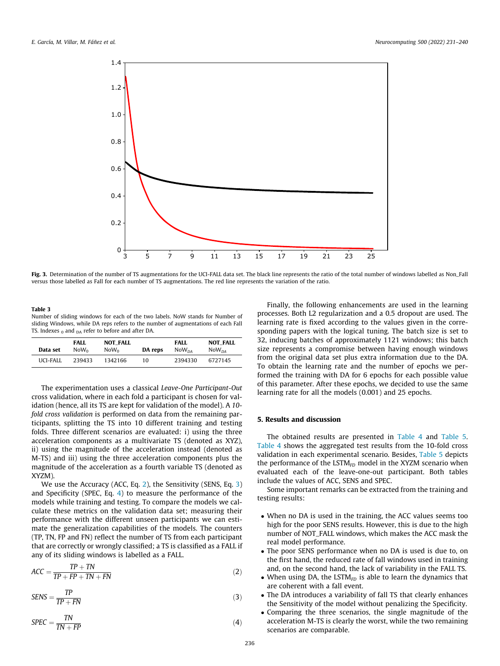<span id="page-5-0"></span>

Fig. 3. Determination of the number of TS augmentations for the UCI-FALL data set. The black line represents the ratio of the total number of windows labelled as Non\_Fall versus those labelled as Fall for each number of TS augmentations. The red line represents the variation of the ratio.

### Table 3

Number of sliding windows for each of the two labels. NoW stands for Number of sliding Windows, while DA reps refers to the number of augmentations of each Fall TS. Indexes  $_0$  and  $_{DA}$  refer to before and after DA.

| Data set | <b>FALL</b><br>Now <sub>o</sub> | <b>NOT FALL</b><br>Now <sub>o</sub><br>DA reps |    | FALL<br>N <sub>0</sub> W <sub>na</sub> | <b>NOT FALL</b><br>NoW <sub>DA</sub> |
|----------|---------------------------------|------------------------------------------------|----|----------------------------------------|--------------------------------------|
| UCI-FALL | 239433                          | 1342166                                        | 10 | 2394330                                | 6727145                              |

The experimentation uses a classical Leave-One Participant-Out cross validation, where in each fold a participant is chosen for validation (hence, all its TS are kept for validation of the model). A 10 fold cross validation is performed on data from the remaining participants, splitting the TS into 10 different training and testing folds. Three different scenarios are evaluated: i) using the three acceleration components as a multivariate TS (denoted as XYZ), ii) using the magnitude of the acceleration instead (denoted as M-TS) and iii) using the three acceleration components plus the magnitude of the acceleration as a fourth variable TS (denoted as XYZM).

We use the Accuracy (ACC, Eq. 2), the Sensitivity (SENS, Eq. 3) and Specificity (SPEC, Eq. 4) to measure the performance of the models while training and testing. To compare the models we calculate these metrics on the validation data set; measuring their performance with the different unseen participants we can estimate the generalization capabilities of the models. The counters (TP, TN, FP and FN) reflect the number of TS from each participant that are correctly or wrongly classified; a TS is classified as a FALL if any of its sliding windows is labelled as a FALL.

$$
ACC = \frac{TP + TN}{TP + FP + TN + FN}
$$
 (2)

$$
SENS = \frac{TP}{TP + FN}
$$
 (3)

$$
SPEC = \frac{TN}{TN + FP}
$$
 (4)

Finally, the following enhancements are used in the learning processes. Both L2 regularization and a 0.5 dropout are used. The learning rate is fixed according to the values given in the corresponding papers with the logical tuning. The batch size is set to 32, inducing batches of approximately 1121 windows; this batch size represents a compromise between having enough windows from the original data set plus extra information due to the DA. To obtain the learning rate and the number of epochs we performed the training with DA for 6 epochs for each possible value of this parameter. After these epochs, we decided to use the same learning rate for all the models (0.001) and 25 epochs.

# 5. Results and discussion

The obtained results are presented in [Table 4](#page-6-0) and [Table 5.](#page-6-0) [Table 4](#page-6-0) shows the aggregated test results from the 10-fold cross validation in each experimental scenario. Besides, [Table 5](#page-6-0) depicts the performance of the LSTM $_{FD}$  model in the XYZM scenario when evaluated each of the leave-one-out participant. Both tables include the values of ACC, SENS and SPEC.

Some important remarks can be extracted from the training and testing results:

- When no DA is used in the training, the ACC values seems too high for the poor SENS results. However, this is due to the high number of NOT\_FALL windows, which makes the ACC mask the real model performance.
- The poor SENS performance when no DA is used is due to, on the first hand, the reduced rate of fall windows used in training and, on the second hand, the lack of variability in the FALL TS.
- When using DA, the LSTM $_{FD}$  is able to learn the dynamics that are coherent with a fall event.
- The DA introduces a variability of fall TS that clearly enhances the Sensitivity of the model without penalizing the Specificity.
- Comparing the three scenarios, the single magnitude of the acceleration M-TS is clearly the worst, while the two remaining scenarios are comparable.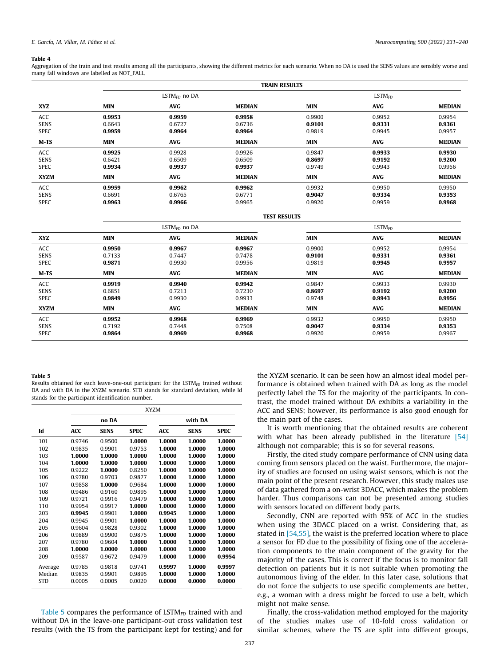#### <span id="page-6-0"></span>Table 4

Aggregation of the train and test results among all the participants, showing the different metrics for each scenario. When no DA is used the SENS values are sensibly worse and many fall windows are labelled as NOT\_FALL.

|                                   | <b>TRAIN RESULTS</b>       |                            |                            |                            |                            |                            |  |
|-----------------------------------|----------------------------|----------------------------|----------------------------|----------------------------|----------------------------|----------------------------|--|
|                                   | $LSTMFD$ no DA             |                            |                            | LSTM <sub>FD</sub>         |                            |                            |  |
| <b>XYZ</b>                        | <b>MIN</b>                 | <b>AVG</b>                 | <b>MEDIAN</b>              | <b>MIN</b>                 | <b>AVG</b>                 | <b>MEDIAN</b>              |  |
| ACC<br><b>SENS</b><br><b>SPEC</b> | 0.9953<br>0.6643<br>0.9959 | 0.9959<br>0.6727<br>0.9964 | 0.9958<br>0.6736<br>0.9964 | 0.9900<br>0.9101<br>0.9819 | 0.9952<br>0.9331<br>0.9945 | 0.9954<br>0.9361<br>0.9957 |  |
| M-TS                              | <b>MIN</b>                 | <b>AVG</b>                 | <b>MEDIAN</b>              | <b>MIN</b>                 | <b>AVG</b>                 | <b>MEDIAN</b>              |  |
| ACC<br><b>SENS</b><br><b>SPEC</b> | 0.9925<br>0.6421<br>0.9934 | 0.9928<br>0.6509<br>0.9937 | 0.9926<br>0.6509<br>0.9937 | 0.9847<br>0.8697<br>0.9749 | 0.9933<br>0.9192<br>0.9943 | 0.9930<br>0.9200<br>0.9956 |  |
| <b>XYZM</b>                       | <b>MIN</b>                 | <b>AVG</b>                 | <b>MEDIAN</b>              | <b>MIN</b>                 | <b>AVG</b>                 | <b>MEDIAN</b>              |  |
| ACC<br><b>SENS</b><br><b>SPEC</b> | 0.9959<br>0.6691<br>0.9963 | 0.9962<br>0.6765<br>0.9966 | 0.9962<br>0.6771<br>0.9965 | 0.9932<br>0.9047<br>0.9920 | 0.9950<br>0.9334<br>0.9959 | 0.9950<br>0.9353<br>0.9968 |  |

|                                   | $LSTMFD$ no DA             |                            |                            | LSTM <sub>FD</sub>         |                            |                            |
|-----------------------------------|----------------------------|----------------------------|----------------------------|----------------------------|----------------------------|----------------------------|
| <b>XYZ</b>                        | <b>MIN</b>                 | AVG                        | <b>MEDIAN</b>              | <b>MIN</b>                 | <b>AVG</b>                 | <b>MEDIAN</b>              |
| ACC<br><b>SENS</b>                | 0.9950<br>0.7133           | 0.9967<br>0.7447           | 0.9967<br>0.7478           | 0.9900<br>0.9101           | 0.9952<br>0.9331           | 0.9954<br>0.9361           |
| <b>SPEC</b>                       | 0.9871                     | 0.9930                     | 0.9956                     | 0.9819                     | 0.9945                     | 0.9957                     |
| $M-TS$                            | <b>MIN</b>                 | <b>AVG</b>                 | <b>MEDIAN</b>              | <b>MIN</b>                 | <b>AVG</b>                 | <b>MEDIAN</b>              |
| ACC<br><b>SENS</b><br><b>SPEC</b> | 0.9919<br>0.6851<br>0.9849 | 0.9940<br>0.7213<br>0.9930 | 0.9942<br>0.7230<br>0.9933 | 0.9847<br>0.8697<br>0.9748 | 0.9933<br>0.9192<br>0.9943 | 0.9930<br>0.9200<br>0.9956 |
| <b>XYZM</b>                       | <b>MIN</b>                 | AVG                        | <b>MEDIAN</b>              | <b>MIN</b>                 | <b>AVG</b>                 | <b>MEDIAN</b>              |
| ACC<br><b>SENS</b><br><b>SPEC</b> | 0.9952<br>0.7192<br>0.9864 | 0.9968<br>0.7448<br>0.9969 | 0.9969<br>0.7508<br>0.9968 | 0.9932<br>0.9047<br>0.9920 | 0.9950<br>0.9334<br>0.9959 | 0.9950<br>0.9353<br>0.9967 |

TEST RESULTS

#### Table 5

Results obtained for each leave-one-out participant for the  $LSTM<sub>FD</sub>$  trained without DA and with DA in the XYZM scenario. STD stands for standard deviation, while Id stands for the participant identification number.

|            | <b>XYZM</b> |             |             |            |             |             |
|------------|-------------|-------------|-------------|------------|-------------|-------------|
|            | no DA       |             |             | with DA    |             |             |
| Id         | <b>ACC</b>  | <b>SENS</b> | <b>SPEC</b> | <b>ACC</b> | <b>SENS</b> | <b>SPEC</b> |
| 101        | 0.9746      | 0.9500      | 1.0000      | 1.0000     | 1.0000      | 1.0000      |
| 102        | 0.9835      | 0.9901      | 0.9753      | 1.0000     | 1.0000      | 1.0000      |
| 103        | 1.0000      | 1.0000      | 1.0000      | 1.0000     | 1.0000      | 1.0000      |
| 104        | 1.0000      | 1.0000      | 1.0000      | 1.0000     | 1.0000      | 1.0000      |
| 105        | 0.9222      | 1.0000      | 0.8250      | 1.0000     | 1.0000      | 1.0000      |
| 106        | 0.9780      | 0.9703      | 0.9877      | 1.0000     | 1.0000      | 1.0000      |
| 107        | 0.9858      | 1.0000      | 0.9684      | 1.0000     | 1.0000      | 1.0000      |
| 108        | 0.9486      | 0.9160      | 0.9895      | 1.0000     | 1.0000      | 1.0000      |
| 109        | 0.9721      | 0.9916      | 0.9479      | 1.0000     | 1.0000      | 1.0000      |
| 110        | 0.9954      | 0.9917      | 1.0000      | 1.0000     | 1.0000      | 1.0000      |
| 203        | 0.9945      | 0.9901      | 1.0000      | 0.9945     | 1.0000      | 1.0000      |
| 204        | 0.9945      | 0.9901      | 1.0000      | 1.0000     | 1.0000      | 1.0000      |
| 205        | 0.9604      | 0.9828      | 0.9302      | 1.0000     | 1.0000      | 1.0000      |
| 206        | 0.9889      | 0.9900      | 0.9875      | 1.0000     | 1.0000      | 1.0000      |
| 207        | 0.9780      | 0.9604      | 1.0000      | 1.0000     | 1.0000      | 1.0000      |
| 208        | 1.0000      | 1.0000      | 1.0000      | 1.0000     | 1.0000      | 1.0000      |
| 209        | 0.9587      | 0.9672      | 0.9479      | 1.0000     | 1.0000      | 0.9954      |
| Average    | 0.9785      | 0.9818      | 0.9741      | 0.9997     | 1.0000      | 0.9997      |
| Median     | 0.9835      | 0.9901      | 0.9895      | 1.0000     | 1.0000      | 1.0000      |
| <b>STD</b> | 0.0005      | 0.0005      | 0.0020      | 0.0000     | 0.0000      | 0.0000      |
|            |             |             |             |            |             |             |

Table 5 compares the performance of  $LSTM<sub>FD</sub>$  trained with and without DA in the leave-one participant-out cross validation test results (with the TS from the participant kept for testing) and for the XYZM scenario. It can be seen how an almost ideal model performance is obtained when trained with DA as long as the model perfectly label the TS for the majority of the participants. In contrast, the model trained without DA exhibits a variability in the ACC and SENS; however, its performance is also good enough for the main part of the cases.

It is worth mentioning that the obtained results are coherent with what has been already published in the literature [\[54\]](#page-8-0) although not comparable; this is so for several reasons.

Firstly, the cited study compare performance of CNN using data coming from sensors placed on the waist. Furthermore, the majority of studies are focused on using waist sensors, which is not the main point of the present research. However, this study makes use of data gathered from a on-wrist 3DACC, which makes the problem harder. Thus comparisons can not be presented among studies with sensors located on different body parts.

Secondly, CNN are reported with 95% of ACC in the studies when using the 3DACC placed on a wrist. Considering that, as stated in [\[54,55\]](#page-8-0), the waist is the preferred location where to place a sensor for FD due to the possibility of fixing one of the acceleration components to the main component of the gravity for the majority of the cases. This is correct if the focus is to monitor fall detection on patients but it is not suitable when promoting the autonomous living of the elder. In this later case, solutions that do not force the subjects to use specific complements are better, e.g., a woman with a dress might be forced to use a belt, which might not make sense.

Finally, the cross-validation method employed for the majority of the studies makes use of 10-fold cross validation or similar schemes, where the TS are split into different groups,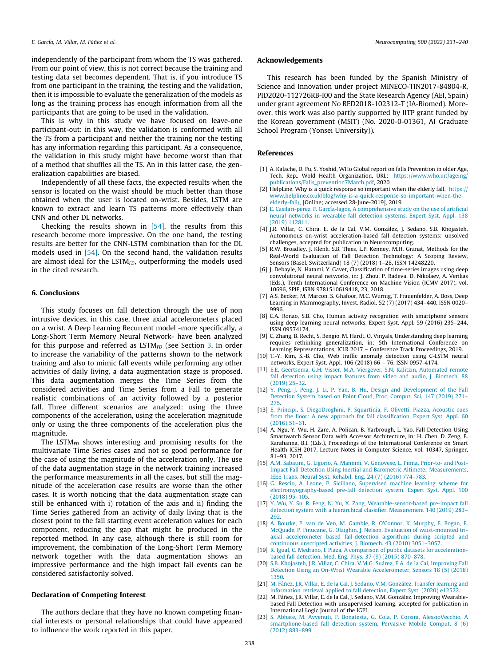<span id="page-7-0"></span>independently of the participant from whom the TS was gathered. From our point of view, this is not correct because the training and testing data set becomes dependent. That is, if you introduce TS from one participant in the training, the testing and the validation, then it is impossible to evaluate the generalization of the models as long as the training process has enough information from all the participants that are going to be used in the validation.

This is why in this study we have focused on leave-one participant-out: in this way, the validation is conformed with all the TS from a participant and neither the training nor the testing has any information regarding this participant. As a consequence, the validation in this study might have become worst than that of a method that shuffles all the TS. An in this latter case, the generalization capabilities are biased.

Independently of all these facts, the expected results when the sensor is located on the waist should be much better than those obtained when the user is located on-wrist. Besides, LSTM are known to extract and learn TS patterns more effectively than CNN and other DL networks.

Checking the results shown in  $[54]$ , the results from this research become more impressive. On the one hand, the testing results are better for the CNN-LSTM combination than for the DL models used in [\[54\]](#page-8-0). On the second hand, the validation results are almost ideal for the LSTM $_{FD}$ , outperforming the models used in the cited research.

# 6. Conclusions

This study focuses on fall detection through the use of non intrusive devices, in this case, three axial accelerometers placed on a wrist. A Deep Learning Recurrent model -more specifically, a Long-Short Term Memory Neural Network- have been analyzed for this purpose and referred as  $LSTM<sub>FD</sub>$  (see Section [3.](#page-1-0) In order to increase the variability of the patterns shown to the network training and also to mimic fall events while performing any other activities of daily living, a data augmentation stage is proposed. This data augmentation merges the Time Series from the considered activities and Time Series from a Fall to generate realistic combinations of an activity followed by a posterior fall. Three different scenarios are analyzed: using the three components of the acceleration, using the acceleration magnitude only or using the three components of the acceleration plus the magnitude.

The LSTM $_{FD}$  shows interesting and promising results for the multivariate Time Series cases and not so good performance for the case of using the magnitude of the acceleration only. The use of the data augmentation stage in the network training increased the performance measurements in all the cases, but still the magnitude of the acceleration case results are worse than the other cases. It is worth noticing that the data augmentation stage can still be enhanced with i) rotation of the axis and ii) finding the Time Series gathered from an activity of daily living that is the closest point to the fall starting event acceleration values for each component, reducing the gap that might be produced in the reported method. In any case, although there is still room for improvement, the combination of the Long-Short Term Memory network together with the data augmentation shows an impressive performance and the high impact fall events can be considered satisfactorily solved.

# Declaration of Competing Interest

The authors declare that they have no known competing financial interests or personal relationships that could have appeared to influence the work reported in this paper.

# Acknowledgements

This research has been funded by the Spanish Ministry of Science and Innovation under project MINECO-TIN2017-84804-R, PID2020-112726RB-I00 and the State Research Agency (AEI, Spain) under grant agreement No RED2018-102312-T (IA-Biomed). Moreover, this work was also partly supported by IITP grant funded by the Korean government (MSIT) (No. 2020-0-01361, AI Graduate School Program (Yonsei University)).

# References

- [1] A. Kalache, D. Fu, S. Yoshid, WHo Global report on falls Prevention in older Age, Tech. Rep., Wold Health Organization, URL: [https://www.who.int/ageing/](https://www.who.int/ageing/publications/Falls_prevention7March.pdf) [publications/Falls\\_prevention7March.pdf](https://www.who.int/ageing/publications/Falls_prevention7March.pdf), 2020.
- [2] HelpLine, Why is a quick response so important when the elderly fall, [https://](https://www.helpline.co.uk/blog/why-is-a-quick-response-so-important-when-the-elderly-fall/) [www.helpline.co.uk/blog/why-is-a-quick-response-so-important-when-the](https://www.helpline.co.uk/blog/why-is-a-quick-response-so-important-when-the-elderly-fall/)[elderly-fall/,](https://www.helpline.co.uk/blog/why-is-a-quick-response-so-important-when-the-elderly-fall/) [Online; accessed 28-June-2019], 2019.
- [3] [E. Casilari-pérez, F. García-lagos, A comprehensive study on the use of artificial](http://refhub.elsevier.com/S0925-2312(22)00644-0/h0015) [neural networks in wearable fall detection systems, Expert Syst. Appl. 138](http://refhub.elsevier.com/S0925-2312(22)00644-0/h0015) [\(2019\) 112811.](http://refhub.elsevier.com/S0925-2312(22)00644-0/h0015)
- [4] J.R. Villar, C. Chira, E. de la Cal, V.M. González, J. Sedano, S.B. Khojasteh, Autonomous on-wrist acceleration-based fall detection systems: unsolved challenges, accepted for publication in Neurocomputing.
- [5] R.W. Broadley, J. Klenk, S.B. Thies, L.P. Kenney, M.H. Granat, Methods for the Real-World Evaluation of Fall Detection Technology: A Scoping Review, Sensors (Basel, Switzerland) 18 (7) (2018) 1–28, ISSN 14248220.
- [6] J. Debayle, N. Hatami, Y. Gavet, Classification of time-series images using deep convolutional neural networks, in: J. Zhou, P. Radeva, D. Nikolaev, A. Verikas (Eds.), Tenth International Conference on Machine Vision (ICMV 2017), vol. 10696, SPIE, ISBN 9781510619418, 23, 2018.
- [7] A.S. Becker, M. Marcon, S. Ghafoor, M.C. Wurnig, T. Frauenfelder, A. Boss, Deep Learning in Mammography, Invest. Radiol. 52 (7) (2017) 434–440, ISSN 0020– 9996.
- [8] C.A. Ronao, S.B. Cho, Human activity recognition with smartphone sensors using deep learning neural networks, Expert Syst. Appl. 59 (2016) 235–244, ISSN 09574174.
- [9] C. Zhang, B. Recht, S. Bengio, M. Hardt, O. Vinyals, Understanding deep learning requires rethinking generalization, in: 5th International Conference on Learning Representations, ICLR 2017 – Conference Track Proceedings, 2019.
- [10] T.-Y. Kim, S.-B. Cho, Web traffic anomaly detection using C-LSTM neural networks, Expert Syst. Appl. 106 (2018) 66 76, ISSN 0957-4174.
- [11] [E.E. Geertsema, G.H. Visser, M.A. Viergever, S.N. Kalitzin, Automated remote](http://refhub.elsevier.com/S0925-2312(22)00644-0/h0055) [fall detection using impact features from video and audio, J. Biomech. 88](http://refhub.elsevier.com/S0925-2312(22)00644-0/h0055) [\(2019\) 25–32](http://refhub.elsevier.com/S0925-2312(22)00644-0/h0055).
- [12] [Y. Peng, J. Peng, J. Li, P. Yan, B. Hu, Design and Development of the Fall](http://refhub.elsevier.com/S0925-2312(22)00644-0/h0060) [Detection System based on Point Cloud, Proc. Comput. Sci. 147 \(2019\) 271–](http://refhub.elsevier.com/S0925-2312(22)00644-0/h0060) [275.](http://refhub.elsevier.com/S0925-2312(22)00644-0/h0060)
- [13] [E. Principi, S. DiegoDroghini, P. Squartinia, F. Olivetti, Piazza, Acoustic cues](http://refhub.elsevier.com/S0925-2312(22)00644-0/h0065) [from the floor: A new approach for fall classification, Expert Syst. Appl. 60](http://refhub.elsevier.com/S0925-2312(22)00644-0/h0065) [\(2016\) 51–61](http://refhub.elsevier.com/S0925-2312(22)00644-0/h0065).
- [14] A. Ngu, Y. Wu, H. Zare, A. Polican, B. Yarbrough, L. Yao, Fall Detection Using Smartwatch Sensor Data with Accessor Architecture, in: H. Chen, D. Zeng, E. Karahanna, B.I. (Eds.), Proceedings of the International Conference on Smart Health ICSH 2017, Lecture Notes in Computer Science, vol. 10347, Springer, 81–93, 2017.
- [15] [A.M. Sabatini, G. Ligorio, A. Mannini, V. Genovese, L. Pinna, Prior-to- and Post-](http://refhub.elsevier.com/S0925-2312(22)00644-0/h0075)[Impact Fall Detection Using Inertial and Barometric Altimeter Measurements,](http://refhub.elsevier.com/S0925-2312(22)00644-0/h0075) [IEEE Trans. Neural Syst. Rehabil. Eng. 24 \(7\) \(2016\) 774–783.](http://refhub.elsevier.com/S0925-2312(22)00644-0/h0075)
- [16] [G. Rescio, A. Leone, P. Siciliano, Supervised machine learning scheme for](http://refhub.elsevier.com/S0925-2312(22)00644-0/h0080) [electromyography-based pre-fall detection system, Expert Syst. Appl. 100](http://refhub.elsevier.com/S0925-2312(22)00644-0/h0080) [\(2018\) 95–105](http://refhub.elsevier.com/S0925-2312(22)00644-0/h0080).
- [17] [Y. Wu, Y. Su, R. Feng, N. Yu, X. Zang, Wearable-sensor-based pre-impact fall](http://refhub.elsevier.com/S0925-2312(22)00644-0/h0085) [detection system with a hierarchical classifier, Measurement 140 \(2019\) 283–](http://refhub.elsevier.com/S0925-2312(22)00644-0/h0085) [292.](http://refhub.elsevier.com/S0925-2312(22)00644-0/h0085)
- [18] [A. Bourke, P. van de Ven, M. Gamble, R. O'Connor, K. Murphy, E. Bogan, E.](http://refhub.elsevier.com/S0925-2312(22)00644-0/h0090) [McQuade, P. Finucane, G. Olaighin, J. Nelson, Evaluation of waist-mounted tri](http://refhub.elsevier.com/S0925-2312(22)00644-0/h0090)[axial accelerometer based fall-detection algorithms during scripted and](http://refhub.elsevier.com/S0925-2312(22)00644-0/h0090) [continuous unscripted activities, J. Biomech. 43 \(2010\) 3051–3057.](http://refhub.elsevier.com/S0925-2312(22)00644-0/h0090)
- [19] [R. Igual, C. Medrano, I. Plaza, A comparison of public datasets for acceleration](http://refhub.elsevier.com/S0925-2312(22)00644-0/h0095)[based fall detection, Med. Eng. Phys. 37 \(9\) \(2015\) 870–878.](http://refhub.elsevier.com/S0925-2312(22)00644-0/h0095)
- [20] [S.B. Khojasteh, J.R. Villar, C. Chira, V.M.G. Suárez, E.A. de la Cal, Improving Fall](http://refhub.elsevier.com/S0925-2312(22)00644-0/h0100) [Detection Using an On-Wrist Wearable Accelerometer, Sensors 18 \(5\) \(2018\)](http://refhub.elsevier.com/S0925-2312(22)00644-0/h0100) [1350](http://refhub.elsevier.com/S0925-2312(22)00644-0/h0100).
- [21] [M. Fáñez, J.R. Villar, E. de la Cal, J. Sedano, V.M. González, Transfer learning and](http://refhub.elsevier.com/S0925-2312(22)00644-0/h0105) [information retrieval applied to fall detection, Expert Syst. \(2020\) e12522.](http://refhub.elsevier.com/S0925-2312(22)00644-0/h0105)
- [22] M. Fáñez, J.R. Villar, E. de la Cal, J. Sedano, V.M. González, Improving Wearablebased Fall Detection with unsupervised learning, accepted for publication in International Logic Journal of the IGPL.
- [23] [S. Abbate, M. Avvenuti, F. Bonatesta, G. Cola, P. Corsini, AlessioVecchio, A](http://refhub.elsevier.com/S0925-2312(22)00644-0/h0115) [smartphone-based fall detection system, Pervasive Mobile Comput. 8 \(6\)](http://refhub.elsevier.com/S0925-2312(22)00644-0/h0115) [\(2012\) 883–899](http://refhub.elsevier.com/S0925-2312(22)00644-0/h0115).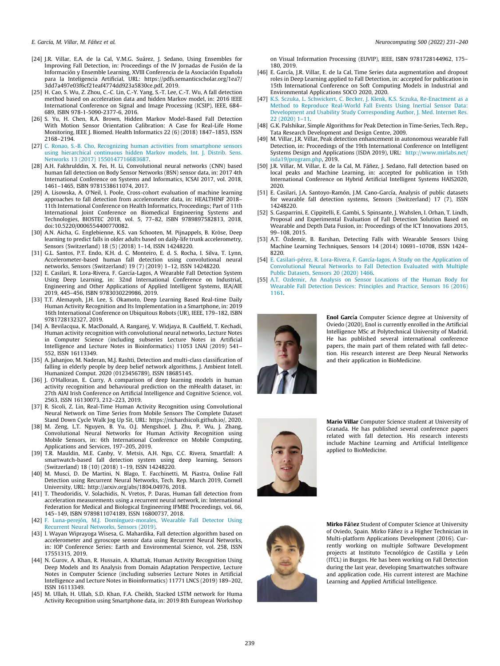<span id="page-8-0"></span>

- [24] J.R. Villar, E.A. de la Cal, V.M.G. Suárez, J. Sedano, Using Ensembles for Improving Fall Detection, in: Proceedings of the IV Jornadas de Fusión de la Información y Ensemble Learning, XVIII Conferencia de la Asociación Española para la Inteligencia Artificial, URL: https://pdfs.semanticscholar.org/1ea7/ 3dd7a497e03f6cf21eaf4774dd923a5830ce.pdf, 2019.
- [25] H. Cao, S. Wu, Z. Zhou, C.-C. Lin, C.-Y. Yang, S.-T. Lee, C.-T. Wu, A fall detection method based on acceleration data and hidden Markov model, in: 2016 IEEE International Conference on Signal and Image Processing (ICSIP), IEEE, 684– 689, ISBN 978-1-5090-2377-6, 2016.
- [26] S. Yu, H. Chen, R.A. Brown, Hidden Markov Model-Based Fall Detection With Motion Sensor Orientation Calibration: A Case for Real-Life Home Monitoring, IEEE J. Biomed. Health Informatics 22 (6) (2018) 1847–1853, ISSN 2168–2194.
- [27] [C. Ronao, S.-B. Cho, Recognizing human activities from smartphone sensors](http://refhub.elsevier.com/S0925-2312(22)00644-0/h0135) [using hierarchical continuous hidden Markov models, Int. J. Distrib. Sens.](http://refhub.elsevier.com/S0925-2312(22)00644-0/h0135) [Networks 13 \(2017\) 1550147716683687](http://refhub.elsevier.com/S0925-2312(22)00644-0/h0135).
- [28] A.H. Fakhrulddin, X. Fei, H. Li, Convolutional neural networks (CNN) based human fall detection on Body Sensor Networks (BSN) sensor data, in: 2017 4th International Conference on Systems and Informatics, ICSAI 2017, vol. 2018, 1461–1465, ISBN 9781538611074, 2017.
- [29] A. Lisowska, A. O'Neil, I. Poole, Cross-cohort evaluation of machine learning approaches to fall detection from accelerometer data, in: HEALTHINF 2018– 11th International Conference on Health Informatics, Proceedings; Part of 11th International Joint Conference on Biomedical Engineering Systems and Technologies, BIOSTEC 2018, vol. 5, 77–82, ISBN 9789897582813, 2018, doi:10.5220/0006554400770082.
- [30] A.N. Aicha, G. Englebienne, K.S. van Schooten, M. Pijnappels, B. Kröse, Deep learning to predict falls in older adults based on daily-life trunk accelerometry, Sensors (Switzerland) 18 (5) (2018) 1–14, ISSN 14248220.
- [31] G.L. Santos, P.T. Endo, K.H. d. C. Monteiro, E. d. S. Rocha, I. Silva, T. Lynn, Accelerometer-based human fall detection using convolutional neural networks, Sensors (Switzerland) 19 (7) (2019) 1–12, ISSN 14248220.
- [32] E. Casilari, R. Lora-Rivera, F. García-Lagos, A Wearable Fall Detection System Using Deep Learning, in: 32nd International Conference on Industrial, Engineering and Other Applications of Applied Intelligent Systems, IEA/AIE 2019, 445–456, ISBN 9783030229986, 2019.
- [33] T.T. Alemayoh, J.H. Lee, S. Okamoto, Deep Learning Based Real-time Daily Human Activity Recognition and Its Implementation in a Smartphone, in: 2019 16th International Conference on Ubiquitous Robots (UR), IEEE, 179–182, ISBN 9781728132327, 2019.
- [34] A. Bevilacqua, K. MacDonald, A. Rangarej, V. Widjaya, B. Caulfield, T. Kechadi, Human activity recognition with convolutional neural networks, Lecture Notes in Computer Science (including subseries Lecture Notes in Artificial Intelligence and Lecture Notes in Bioinformatics) 11053 LNAI (2019) 541– 552, ISSN 16113349.
- [35] A. Jahanjoo, M. Naderan, M.J. Rashti, Detection and multi-class classification of falling in elderly people by deep belief network algorithms, J. Ambient Intell. Humanized Comput. 2020 (0123456789), ISSN 18685145.
- [36] J. O'Halloran, E. Curry, A comparison of deep learning models in human activity recognition and behavioural prediction on the mHealth dataset, in: 27th AIAI Irish Conference on Artificial Intelligence and Cognitive Science, vol. 2563, ISSN 16130073, 212–223, 2019.
- [37] R. Sicoli, Z. Lin, Real-Time Human Activity Recognition using Convolutional Neural Network on Time Series from Mobile Sensors The Complete Dataset Stand Down Cycle Walk Jog Up Sit, URL: https://richardsicoli.github.io/, 2020.
- [38] M. Zeng, L.T. Nguyen, B. Yu, O.J. Mengshoel, J. Zhu, P. Wu, J. Zhang, Convolutional Neural Networks for Human Activity Recognition using Mobile Sensors, in: 6th International Conference on Mobile Computing, Applications and Services, 197–205, 2019.
- [39] T.R. Mauldin, M.E. Canby, V. Metsis, A.H. Ngu, C.C. Rivera, Smartfall: A smartwatch-based fall detection system using deep learning, Sensors (Switzerland) 18 (10) (2018) 1–19, ISSN 14248220.
- [40] M. Musci, D. De Martini, N. Blago, T. Facchinetti, M. Piastra, Online Fall Detection using Recurrent Neural Networks, Tech. Rep. March 2019, Cornell University, URL: http://arxiv.org/abs/1804.04976, 2018.
- [41] T. Theodoridis, V. Solachidis, N. Vretos, P. Daras, Human fall detection from acceleration measurements using a recurrent neural network, in: International Federation for Medical and Biological Engineering IFMBE Proceedings, vol. 66, 145–149, ISBN 9789811074189, ISSN 16800737, 2018.
- [42] [F. Luna-perejón, M.J. Domínguez-morales, Wearable Fall Detector Using](http://refhub.elsevier.com/S0925-2312(22)00644-0/h0210) [Recurrent Neural Networks, Sensors \(2019\)](http://refhub.elsevier.com/S0925-2312(22)00644-0/h0210).
- [43] I. Wayan Wiprayoga Wisesa, G. Mahardika, Fall detection algorithm based on accelerometer and gyroscope sensor data using Recurrent Neural Networks, in: IOP Conference Series: Earth and Environmental Science, vol. 258, ISSN 17551315, 2019.
- [44] N. Gurov, A. Khan, R. Hussain, A. Khattak, Human Activity Recognition Using Deep Models and Its Analysis from Domain Adaptation Perspective, Lecture Notes in Computer Science (including subseries Lecture Notes in Artificial Intelligence and Lecture Notes in Bioinformatics) 11771 LNCS (2019) 189–202, ISSN 16113349.
- [45] M. Ullah, H. Ullah, S.D. Khan, F.A. Cheikh, Stacked LSTM network for Huma Activity Recognition using Smartphone data, in: 2019 8th European Workshop

on Visual Information Processing (EUVIP), IEEE, ISBN 9781728144962, 175– 180, 2019.

- [46] E. García, J.R. Villar, E. de la Cal, Time Series data augmentation and dropout roles in Deep Learning applied to Fall Detection, in: accepted for publication in 15th International Conference on Soft Computing Models in Industrial and Environmental Applications SOCO 2020, 2020.
- [47] [K.S. Sczuka, L. Schwickert, C. Becker, J. Klenk, K.S. Sczuka, Re-Enactment as a](http://refhub.elsevier.com/S0925-2312(22)00644-0/h0235) [Method to Reproduce Real-World Fall Events Using Inertial Sensor Data:](http://refhub.elsevier.com/S0925-2312(22)00644-0/h0235) [Development and Usability Study Corresponding Author, J. Med. Internet Res.](http://refhub.elsevier.com/S0925-2312(22)00644-0/h0235) [22 \(2020\) 1–11](http://refhub.elsevier.com/S0925-2312(22)00644-0/h0235).
- [48] G.K. Palshikar, Simple Algorithms for Peak Detection in Time-Series, Tech. Rep., Tata Research Development and Design Centre, 2009.
- [49] M. Villar, J.R. Villar, Peak detection enhancement in autonomous wearable Fall Detection, in: Proceedings of the 19th International Conference on Intelligent Systems Design and Applications (ISDA 2019), URL: [http://www.mirlabs.net/](http://www.mirlabs.net/isda19/program.php) [isda19/program.php,](http://www.mirlabs.net/isda19/program.php) 2019.
- [50] J.R. Villar, M. Villar, E. de la Cal, M. Fáñez, J. Sedano, Fall detection based on local peaks and Machine Learning, in: accepted for publication in 15th International Conference on Hybrid Artificial Intelligent Systems HAIS2020, 2020.
- [51] E. Casilari, J.A. Santoyo-Ramón, J.M. Cano-García, Analysis of public datasets for wearable fall detection systems, Sensors (Switzerland) 17 (7), ISSN 14248220.
- [52] S. Gasparrini, E. Cippitelli, E. Gambi, S. Spinsante, J. Wahslen, I. Orhan, T. Lindh, Proposal and Experimental Evaluation of Fall Detection Solution Based on Wearable and Depth Data Fusion, in: Proceedings of the ICT Innovations 2015, 99–108, 2015.
- [53] A.T. Özdemir, B. Barshan, Detecting Falls with Wearable Sensors Using Machine Learning Techniques, Sensors 14 (2014) 10691–10708, ISSN 1424– 8220.
- [54] [E. Casilari-pérez, R. Lora-Rivera, F. García-lagos, A Study on the Application of](http://refhub.elsevier.com/S0925-2312(22)00644-0/h0270) [Convolutional Neural Networks to Fall Detection Evaluated with Multiple](http://refhub.elsevier.com/S0925-2312(22)00644-0/h0270) [Public Datasets, Sensors 20 \(2020\) 1466](http://refhub.elsevier.com/S0925-2312(22)00644-0/h0270).
- [55] [A.T. Ozdemir, An Analysis on Sensor Locations of the Human Body for](http://refhub.elsevier.com/S0925-2312(22)00644-0/h0275) [Wearable Fall Detection Devices: Principles and Practice, Sensors 16 \(2016\)](http://refhub.elsevier.com/S0925-2312(22)00644-0/h0275) [1161](http://refhub.elsevier.com/S0925-2312(22)00644-0/h0275).



Enol García Computer Science degree at University of Oviedo (2020), Enol is currently enrolled in the Artificial Intelligence MSc at Polytechnical University of Madrid. He has published several international conference papers, the main part of them related with fall detection. His research interest are Deep Neural Networks and their application in BioMedicine.



Mario Villar Computer Science student at University of Granada. He has published several conference papers related with fall detection. His research interests include Machine Learning and Artificial Intelligence applied to BioMedicine.



Mirko Fáñez Student of Computer Science at University of Oviedo, Spain. Mirko Fáñez is a Higher Technician in Multi-platform Applications Development (2016). Currently working on multiple Software Development projects at Instituto Tecnológico de Castilla y León (ITCL) in Burgos. He has been working on Fall Detection during the last year, developing Smartwatches software and application code. His current interest are Machine Learning and Applied Artificial Intelligence.